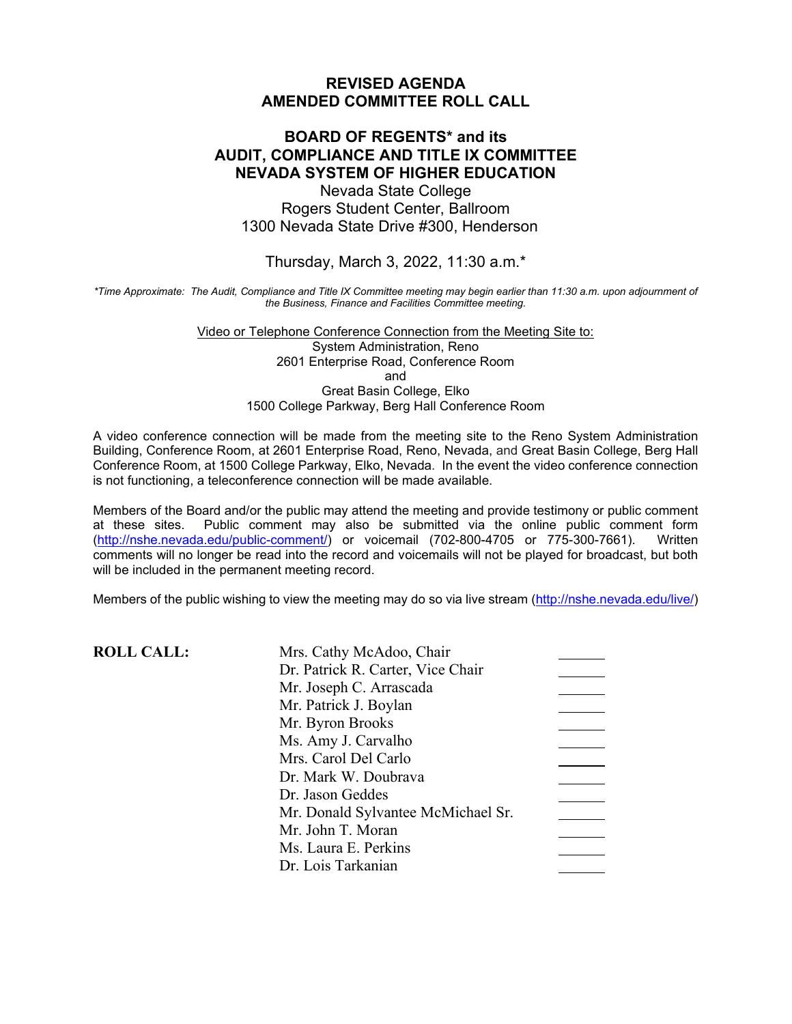#### **REVISED AGENDA AMENDED COMMITTEE ROLL CALL**

## **BOARD OF REGENTS\* and its AUDIT, COMPLIANCE AND TITLE IX COMMITTEE NEVADA SYSTEM OF HIGHER EDUCATION**

Nevada State College Rogers Student Center, Ballroom 1300 Nevada State Drive #300, Henderson

Thursday, March 3, 2022, 11:30 a.m.\*

*\*Time Approximate: The Audit, Compliance and Title IX Committee meeting may begin earlier than 11:30 a.m. upon adjournment of the Business, Finance and Facilities Committee meeting.*

> Video or Telephone Conference Connection from the Meeting Site to: System Administration, Reno 2601 Enterprise Road, Conference Room and Great Basin College, Elko 1500 College Parkway, Berg Hall Conference Room

A video conference connection will be made from the meeting site to the Reno System Administration Building, Conference Room, at 2601 Enterprise Road, Reno, Nevada, and Great Basin College, Berg Hall Conference Room, at 1500 College Parkway, Elko, Nevada. In the event the video conference connection is not functioning, a teleconference connection will be made available.

Members of the Board and/or the public may attend the meeting and provide testimony or public comment form<br>at these sites. Public comment may also be submitted via the online public comment form Public comment may also be submitted via the online public comment form<br>edu/public-comment/) or voicemail (702-800-4705 or 775-300-7661). Written  $(htp://nshe.newada.edu/public-comment/$  or voicemail (702-800-4705 or 775-300-7661). comments will no longer be read into the record and voicemails will not be played for broadcast, but both will be included in the permanent meeting record.

Members of the public wishing to view the meeting may do so via live stream [\(http://nshe.nevada.edu/live/\)](http://nshe.nevada.edu/live/)

**ROLL CALL:** 

| Mrs. Cathy McAdoo, Chair           |  |
|------------------------------------|--|
| Dr. Patrick R. Carter, Vice Chair  |  |
| Mr. Joseph C. Arrascada            |  |
| Mr. Patrick J. Boylan              |  |
| Mr. Byron Brooks                   |  |
| Ms. Amy J. Carvalho                |  |
| Mrs. Carol Del Carlo               |  |
| Dr. Mark W. Doubrava               |  |
| Dr. Jason Geddes                   |  |
| Mr. Donald Sylvantee McMichael Sr. |  |
| Mr. John T. Moran                  |  |
| Ms. Laura E. Perkins               |  |
| Dr. Lois Tarkanian                 |  |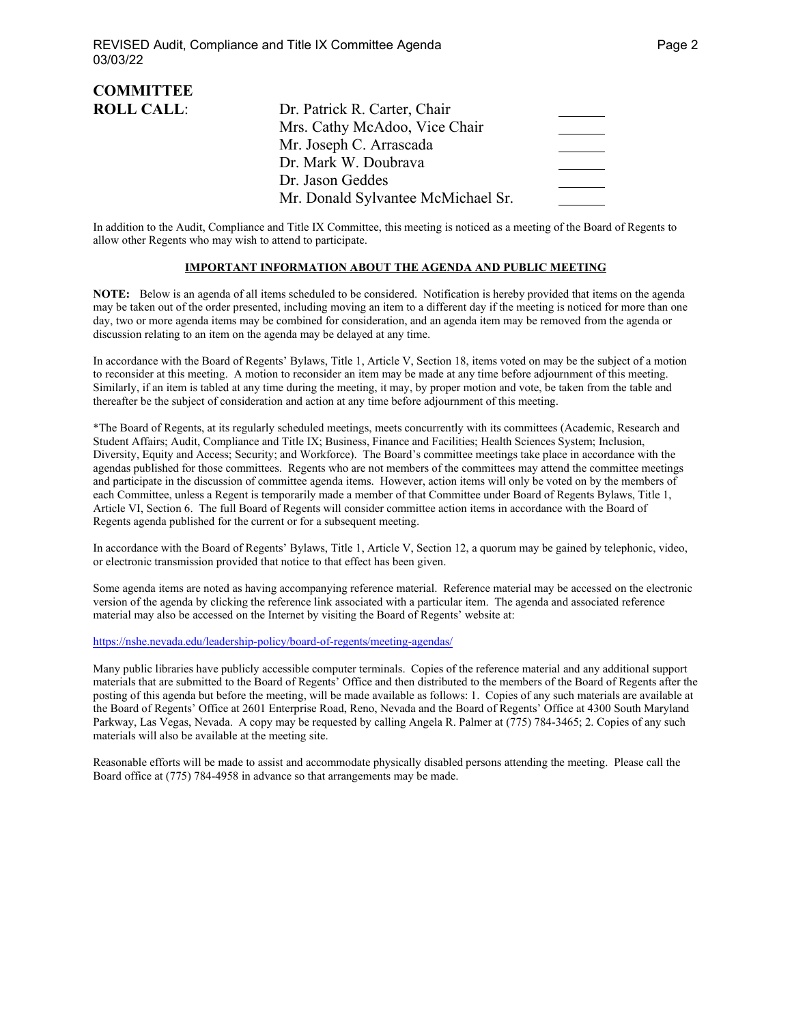| <b>COMMITTEE</b>  |                                    |  |
|-------------------|------------------------------------|--|
| <b>ROLL CALL:</b> | Dr. Patrick R. Carter, Chair       |  |
|                   | Mrs. Cathy McAdoo, Vice Chair      |  |
|                   | Mr. Joseph C. Arrascada            |  |
|                   | Dr. Mark W. Doubrava               |  |
|                   | Dr. Jason Geddes                   |  |
|                   | Mr. Donald Sylvantee McMichael Sr. |  |

In addition to the Audit, Compliance and Title IX Committee, this meeting is noticed as a meeting of the Board of Regents to allow other Regents who may wish to attend to participate.

#### **IMPORTANT INFORMATION ABOUT THE AGENDA AND PUBLIC MEETING**

**NOTE:** Below is an agenda of all items scheduled to be considered. Notification is hereby provided that items on the agenda may be taken out of the order presented, including moving an item to a different day if the meeting is noticed for more than one day, two or more agenda items may be combined for consideration, and an agenda item may be removed from the agenda or discussion relating to an item on the agenda may be delayed at any time.

In accordance with the Board of Regents' Bylaws, Title 1, Article V, Section 18, items voted on may be the subject of a motion to reconsider at this meeting. A motion to reconsider an item may be made at any time before adjournment of this meeting. Similarly, if an item is tabled at any time during the meeting, it may, by proper motion and vote, be taken from the table and thereafter be the subject of consideration and action at any time before adjournment of this meeting.

\*The Board of Regents, at its regularly scheduled meetings, meets concurrently with its committees (Academic, Research and Student Affairs; Audit, Compliance and Title IX; Business, Finance and Facilities; Health Sciences System; Inclusion, Diversity, Equity and Access; Security; and Workforce). The Board's committee meetings take place in accordance with the agendas published for those committees. Regents who are not members of the committees may attend the committee meetings and participate in the discussion of committee agenda items. However, action items will only be voted on by the members of each Committee, unless a Regent is temporarily made a member of that Committee under Board of Regents Bylaws, Title 1, Article VI, Section 6. The full Board of Regents will consider committee action items in accordance with the Board of Regents agenda published for the current or for a subsequent meeting.

In accordance with the Board of Regents' Bylaws, Title 1, Article V, Section 12, a quorum may be gained by telephonic, video, or electronic transmission provided that notice to that effect has been given.

Some agenda items are noted as having accompanying reference material. Reference material may be accessed on the electronic version of the agenda by clicking the reference link associated with a particular item. The agenda and associated reference material may also be accessed on the Internet by visiting the Board of Regents' website at:

<https://nshe.nevada.edu/leadership-policy/board-of-regents/meeting-agendas/>

Many public libraries have publicly accessible computer terminals. Copies of the reference material and any additional support materials that are submitted to the Board of Regents' Office and then distributed to the members of the Board of Regents after the posting of this agenda but before the meeting, will be made available as follows: 1. Copies of any such materials are available at the Board of Regents' Office at 2601 Enterprise Road, Reno, Nevada and the Board of Regents' Office at 4300 South Maryland Parkway, Las Vegas, Nevada. A copy may be requested by calling Angela R. Palmer at (775) 784-3465; 2. Copies of any such materials will also be available at the meeting site.

Reasonable efforts will be made to assist and accommodate physically disabled persons attending the meeting. Please call the Board office at (775) 784-4958 in advance so that arrangements may be made.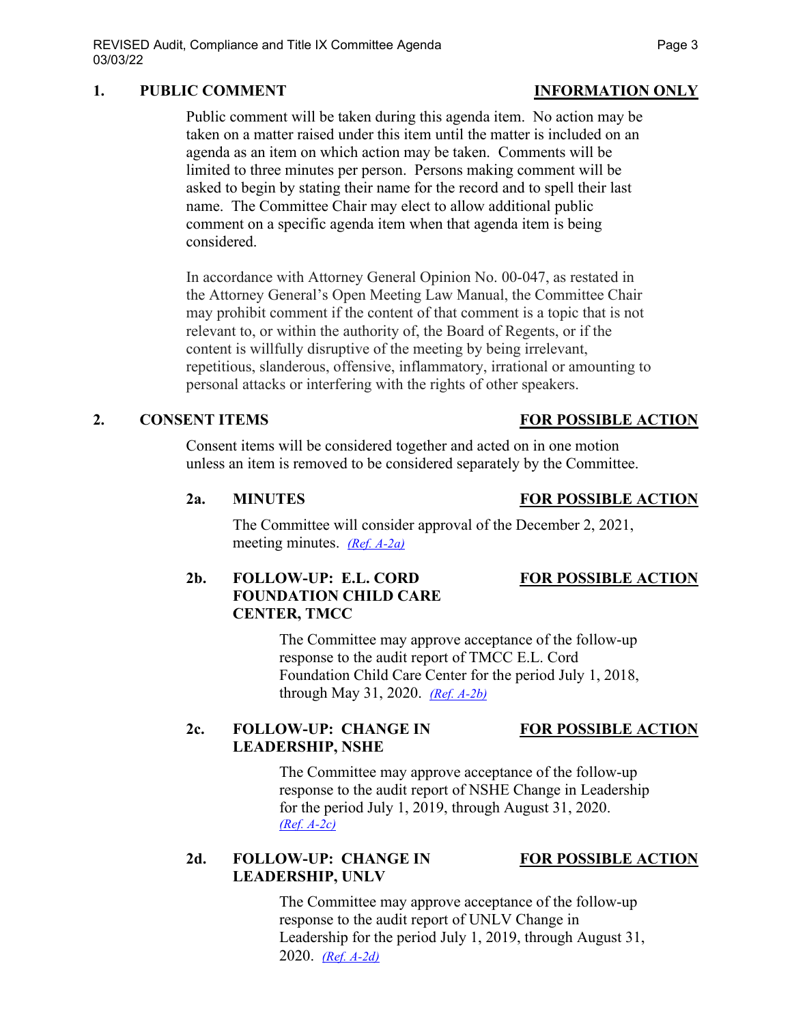### 1. PUBLIC COMMENT **INFORMATION** ONLY

Public comment will be taken during this agenda item. No action may be taken on a matter raised under this item until the matter is included on an agenda as an item on which action may be taken. Comments will be limited to three minutes per person. Persons making comment will be asked to begin by stating their name for the record and to spell their last name. The Committee Chair may elect to allow additional public comment on a specific agenda item when that agenda item is being considered.

In accordance with Attorney General Opinion No. 00-047, as restated in the Attorney General's Open Meeting Law Manual, the Committee Chair may prohibit comment if the content of that comment is a topic that is not relevant to, or within the authority of, the Board of Regents, or if the content is willfully disruptive of the meeting by being irrelevant, repetitious, slanderous, offensive, inflammatory, irrational or amounting to personal attacks or interfering with the rights of other speakers.

### **2. CONSENT ITEMS FOR POSSIBLE ACTION**

Consent items will be considered together and acted on in one motion unless an item is removed to be considered separately by the Committee.

The Committee will consider approval of the December 2, 2021, meeting minutes. *[\(Ref. A-2a\)](https://nshe.nevada.edu/wp-content/uploads/file/BoardOfRegents/Agendas/2022/03-mar-mtgs/ac-refs/A-2a.pdf)*

### **2b. FOLLOW-UP: E.L. CORD FOR POSSIBLE ACTION FOUNDATION CHILD CARE CENTER, TMCC**

The Committee may approve acceptance of the follow-up response to the audit report of TMCC E.L. Cord Foundation Child Care Center for the period July 1, 2018, through May 31, 2020. *[\(Ref. A-2b\)](https://nshe.nevada.edu/wp-content/uploads/file/BoardOfRegents/Agendas/2022/03-mar-mtgs/ac-refs/A-2b.pdf)*

### **2c. FOLLOW-UP: CHANGE IN FOR POSSIBLE ACTION LEADERSHIP, NSHE**

The Committee may approve acceptance of the follow-up response to the audit report of NSHE Change in Leadership for the period July 1, 2019, through August 31, 2020. *[\(Ref. A-2c\)](https://nshe.nevada.edu/wp-content/uploads/file/BoardOfRegents/Agendas/2022/03-mar-mtgs/ac-refs/A-2c.pdf)*

### 2d. FOLLOW-UP: CHANGE IN FOR POSSIBLE ACTION **LEADERSHIP, UNLV**

The Committee may approve acceptance of the follow-up response to the audit report of UNLV Change in Leadership for the period July 1, 2019, through August 31, 2020. *[\(Ref. A-2d\)](https://nshe.nevada.edu/wp-content/uploads/file/BoardOfRegents/Agendas/2022/03-mar-mtgs/ac-refs/A-2d.pdf)*

# **2a. MINUTES FOR POSSIBLE ACTION**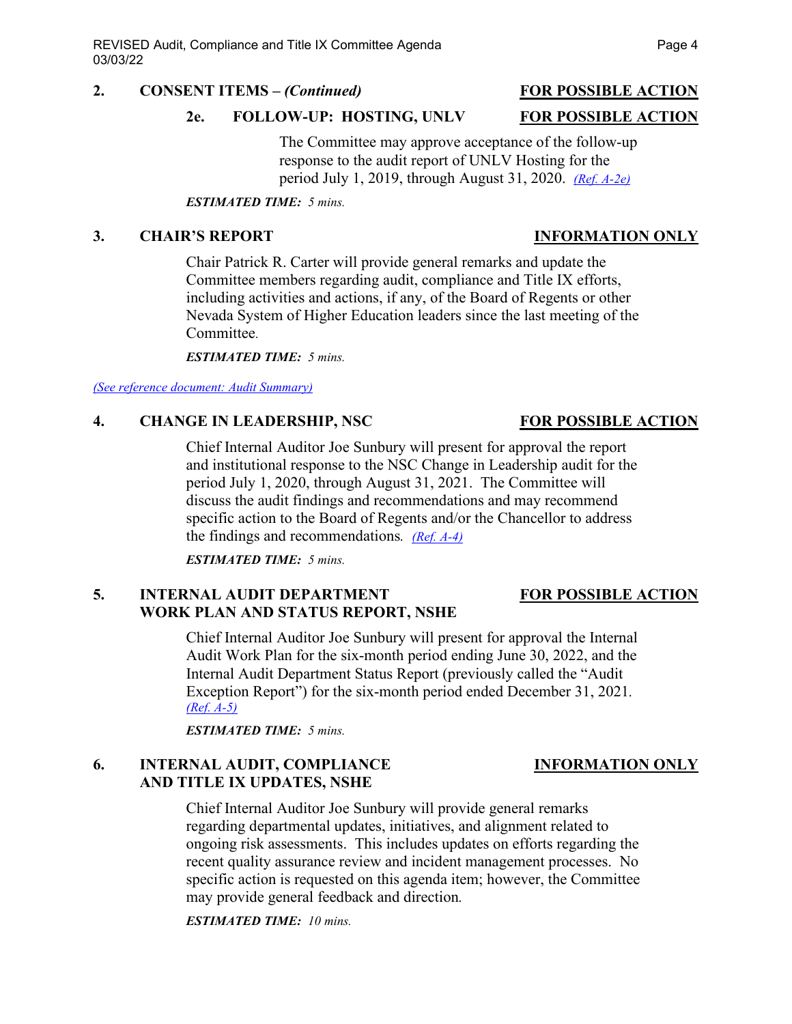#### **2. CONSENT ITEMS –** *(Continued)* **FOR POSSIBLE ACTION**

#### **2e. FOLLOW-UP: HOSTING, UNLV FOR POSSIBLE ACTION**

The Committee may approve acceptance of the follow-up response to the audit report of UNLV Hosting for the period July 1, 2019, through August 31, 2020. *[\(Ref. A-2e\)](https://nshe.nevada.edu/wp-content/uploads/file/BoardOfRegents/Agendas/2022/03-mar-mtgs/ac-refs/A-2e.pdf)*

*ESTIMATED TIME: 5 mins.*

### **3. CHAIR'S REPORT INFORMATION ONLY**

Chair Patrick R. Carter will provide general remarks and update the Committee members regarding audit, compliance and Title IX efforts, including activities and actions, if any, of the Board of Regents or other Nevada System of Higher Education leaders since the last meeting of the Committee.

*ESTIMATED TIME: 5 mins.*

*[\(See reference document: Audit Summary\)](https://nshe.nevada.edu/wp-content/uploads/file/BoardOfRegents/Agendas/2022/03-mar-mtgs/ac-refs/Audit%20Summary.pdf)*

### **4. CHANGE IN LEADERSHIP, NSC FOR POSSIBLE ACTION**

Chief Internal Auditor Joe Sunbury will present for approval the report and institutional response to the NSC Change in Leadership audit for the period July 1, 2020, through August 31, 2021. The Committee will discuss the audit findings and recommendations and may recommend specific action to the Board of Regents and/or the Chancellor to address the findings and recommendations*. [\(Ref. A-4\)](https://nshe.nevada.edu/wp-content/uploads/file/BoardOfRegents/Agendas/2022/03-mar-mtgs/ac-refs/A-4.pdf)*

*ESTIMATED TIME: 5 mins.*

### **5. INTERNAL AUDIT DEPARTMENT FOR POSSIBLE ACTION WORK PLAN AND STATUS REPORT, NSHE**

Chief Internal Auditor Joe Sunbury will present for approval the Internal Audit Work Plan for the six-month period ending June 30, 2022, and the Internal Audit Department Status Report (previously called the "Audit Exception Report") for the six-month period ended December 31, 2021*. [\(Ref. A-5\)](https://nshe.nevada.edu/wp-content/uploads/file/BoardOfRegents/Agendas/2022/03-mar-mtgs/ac-refs/A-5.pdf)*

*ESTIMATED TIME: 5 mins.*

### **6. INTERNAL AUDIT, COMPLIANCE INFORMATION ONLY AND TITLE IX UPDATES, NSHE**

Chief Internal Auditor Joe Sunbury will provide general remarks regarding departmental updates, initiatives, and alignment related to ongoing risk assessments. This includes updates on efforts regarding the recent quality assurance review and incident management processes. No specific action is requested on this agenda item; however, the Committee may provide general feedback and direction*.*

*ESTIMATED TIME: 10 mins.*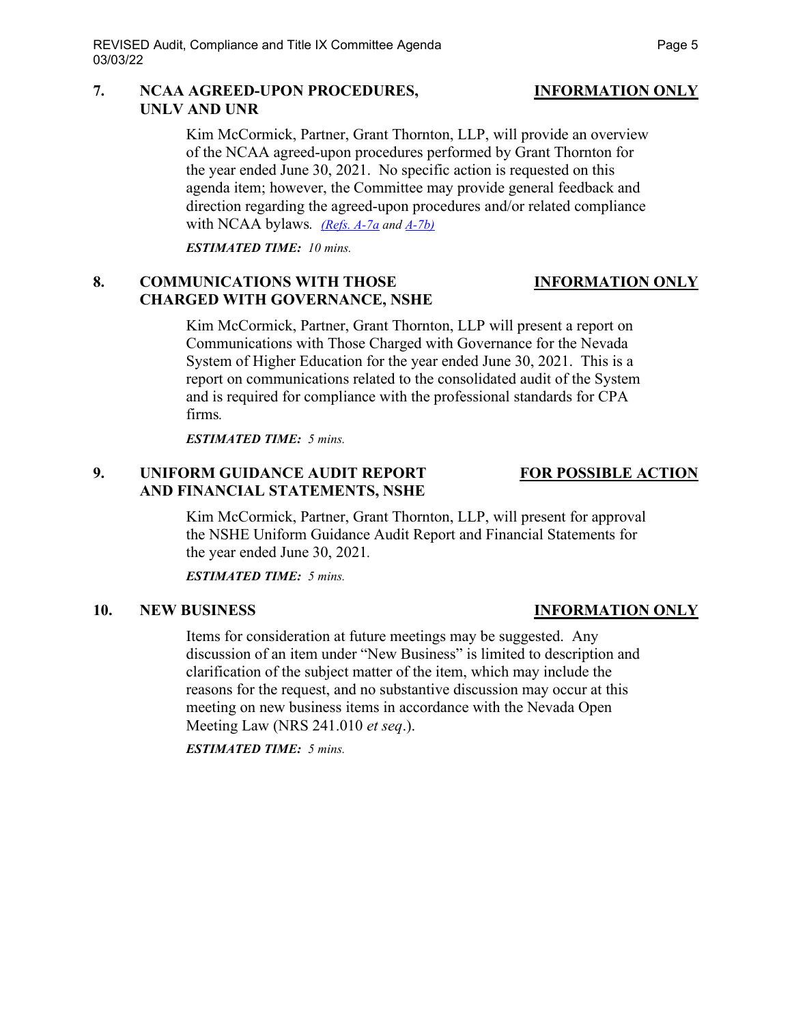### **7. NCAA AGREED-UPON PROCEDURES, INFORMATION ONLY UNLV AND UNR**

Kim McCormick, Partner, Grant Thornton, LLP, will provide an overview of the NCAA agreed-upon procedures performed by Grant Thornton for the year ended June 30, 2021. No specific action is requested on this agenda item; however, the Committee may provide general feedback and direction regarding the agreed-upon procedures and/or related compliance with NCAA bylaws*. [\(Refs. A-7a](https://nshe.nevada.edu/wp-content/uploads/file/BoardOfRegents/Agendas/2022/03-mar-mtgs/ac-refs/A-7a.pdf) and [A-7b\)](https://nshe.nevada.edu/wp-content/uploads/file/BoardOfRegents/Agendas/2022/03-mar-mtgs/ac-refs/A-7b.pdf)*

*ESTIMATED TIME: 10 mins.*

### **8. COMMUNICATIONS WITH THOSE INFORMATION ONLY CHARGED WITH GOVERNANCE, NSHE**

Kim McCormick, Partner, Grant Thornton, LLP will present a report on Communications with Those Charged with Governance for the Nevada System of Higher Education for the year ended June 30, 2021. This is a report on communications related to the consolidated audit of the System and is required for compliance with the professional standards for CPA firms*.*

*ESTIMATED TIME: 5 mins.*

### **9. UNIFORM GUIDANCE AUDIT REPORT FOR POSSIBLE ACTION AND FINANCIAL STATEMENTS, NSHE**

Kim McCormick, Partner, Grant Thornton, LLP, will present for approval the NSHE Uniform Guidance Audit Report and Financial Statements for the year ended June 30, 2021*.*

*ESTIMATED TIME: 5 mins.*

### **10. NEW BUSINESS INFORMATION ONLY**

Items for consideration at future meetings may be suggested. Any discussion of an item under "New Business" is limited to description and clarification of the subject matter of the item, which may include the reasons for the request, and no substantive discussion may occur at this meeting on new business items in accordance with the Nevada Open Meeting Law (NRS 241.010 *et seq*.).

*ESTIMATED TIME: 5 mins.*